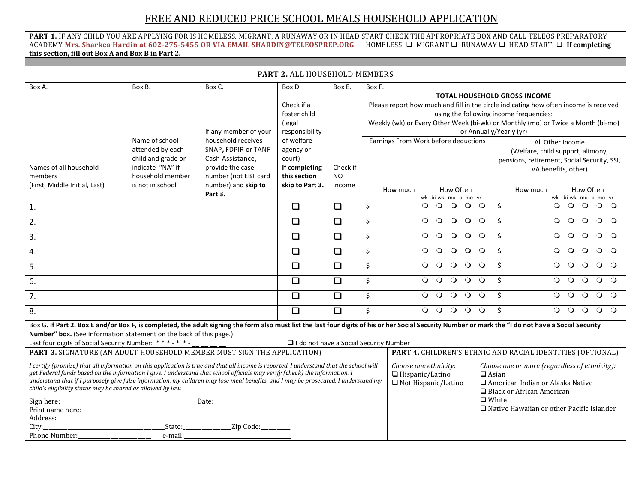## FREE AND REDUCED PRICE SCHOOL MEALS HOUSEHOLD APPLICATION

**PART 1.** IF ANY CHILD YOU ARE APPLYING FOR IS HOMELESS, MIGRANT, A RUNAWAY OR IN HEAD START CHECK THE APPROPRIATE BOX AND CALL TELEOS PREPARATORY ACADEMY **Mrs. Sharkea Hardin at 602-275-5455 OR VIA EMAIL SHARDIN@TELEOSPREP.ORG** HOMELESS MIGRANT RUNAWAY HEAD START **If completing this section, fill out Box A and Box B in Part 2.**

| <b>PART 2. ALL HOUSEHOLD MEMBERS</b>                                                                                                                                                               |                    |                                             |                              |          |                        |                                             |                                                                        |                                                                                                                                                                                                      |  |
|----------------------------------------------------------------------------------------------------------------------------------------------------------------------------------------------------|--------------------|---------------------------------------------|------------------------------|----------|------------------------|---------------------------------------------|------------------------------------------------------------------------|------------------------------------------------------------------------------------------------------------------------------------------------------------------------------------------------------|--|
| Box A.                                                                                                                                                                                             | Box B.             | Box C.                                      | Box D.                       | Box E.   | Box F.                 |                                             |                                                                        |                                                                                                                                                                                                      |  |
|                                                                                                                                                                                                    |                    |                                             |                              |          |                        | <b>TOTAL HOUSEHOLD GROSS INCOME</b>         |                                                                        |                                                                                                                                                                                                      |  |
|                                                                                                                                                                                                    |                    |                                             | Check if a                   |          |                        |                                             |                                                                        | Please report how much and fill in the circle indicating how often income is received                                                                                                                |  |
|                                                                                                                                                                                                    |                    |                                             | foster child                 |          |                        |                                             |                                                                        | using the following income frequencies:                                                                                                                                                              |  |
|                                                                                                                                                                                                    |                    |                                             | (legal                       |          |                        |                                             |                                                                        | Weekly (wk) or Every Other Week (bi-wk) or Monthly (mo) or Twice a Month (bi-mo)                                                                                                                     |  |
|                                                                                                                                                                                                    | Name of school     | If any member of your<br>household receives | responsibility<br>of welfare |          |                        | Earnings From Work before deductions        |                                                                        | or Annually/Yearly (yr)                                                                                                                                                                              |  |
|                                                                                                                                                                                                    | attended by each   | SNAP, FDPIR or TANF                         | agency or                    |          |                        |                                             |                                                                        | All Other Income                                                                                                                                                                                     |  |
|                                                                                                                                                                                                    | child and grade or | Cash Assistance,                            | court)                       |          |                        |                                             |                                                                        | (Welfare, child support, alimony,                                                                                                                                                                    |  |
| Names of all household                                                                                                                                                                             | indicate "NA" if   | provide the case                            | If completing                | Check if |                        |                                             |                                                                        | pensions, retirement, Social Security, SSI,                                                                                                                                                          |  |
| members                                                                                                                                                                                            | household member   | number (not EBT card                        | this section                 | NO.      |                        |                                             |                                                                        | VA benefits, other)                                                                                                                                                                                  |  |
| (First, Middle Initial, Last)                                                                                                                                                                      | is not in school   | number) and skip to                         | skip to Part 3.              | income   |                        |                                             |                                                                        |                                                                                                                                                                                                      |  |
|                                                                                                                                                                                                    |                    | Part 3.                                     |                              |          |                        | How Often<br>How much                       |                                                                        | How Often<br>How much                                                                                                                                                                                |  |
|                                                                                                                                                                                                    |                    |                                             |                              |          |                        | wk bi-wk mo bi-mo yr                        |                                                                        | wk bi-wk mo bi-mo yr                                                                                                                                                                                 |  |
| 1.                                                                                                                                                                                                 |                    |                                             | $\Box$                       | $\Box$   | \$                     | $\Omega$<br>$\Omega$<br>$\circ$<br>$\circ$  | $\circ$                                                                | \$<br>$\Omega$<br>$\Omega$<br>$\Omega$<br>$\circ$<br>$\Omega$                                                                                                                                        |  |
| 2.                                                                                                                                                                                                 |                    |                                             | $\Box$                       | $\Box$   | \$                     | $\circ$<br>$\circ$<br>$\circ$<br>$\Omega$   | $\Omega$                                                               | Ś.<br>$\Omega$<br>$\Omega$<br>$\circ$<br>$\circ$ $\circ$                                                                                                                                             |  |
| 3.                                                                                                                                                                                                 |                    |                                             | $\Box$                       | $\Box$   | \$                     | $\circ$<br>$\circ$<br>$\circ$<br>$\Omega$   | $\circ$                                                                | Ś.<br>$\Omega$<br>$\circ$<br>$\circ$<br>$\circ$ $\circ$                                                                                                                                              |  |
| 4.                                                                                                                                                                                                 |                    |                                             | $\Box$                       | $\Box$   | \$                     | $\circ$<br>$\circ$<br>$\circ$<br>$\Omega$   | $\Omega$                                                               | $\mathsf{S}$<br>$\Omega$<br>$\Omega$<br>$\circ$<br>$\Omega$<br>$\Omega$                                                                                                                              |  |
| 5.                                                                                                                                                                                                 |                    |                                             | $\Box$                       | $\Box$   | \$                     | $\circ$<br>$\circ$<br>$\circ$<br>$\Omega$   | $\circ$                                                                | Ś.<br>$\Omega$<br>$\Omega$<br>$\circ$<br>$\circ$<br>$\circ$                                                                                                                                          |  |
| 6.                                                                                                                                                                                                 |                    |                                             | $\Box$                       | $\Box$   | \$                     | $\circ$<br>$\Omega$<br>$\Omega$<br>$\Omega$ | $\Omega$                                                               | Ś.<br>$\Omega$<br>$\Omega$<br>$\Omega$<br>$\Omega$<br>$\Omega$                                                                                                                                       |  |
| 7.                                                                                                                                                                                                 |                    |                                             | $\Box$                       | $\Box$   | \$                     | $\circ$<br>$\Omega$<br>$\Omega$<br>$\circ$  | $\circ$                                                                | Ś.<br>$\Omega$<br>$\Omega$<br>$\circ$<br>$\Omega$<br>$\circ$                                                                                                                                         |  |
| 8.                                                                                                                                                                                                 |                    |                                             | $\Box$                       | $\Box$   | \$                     | $\overline{Q}$<br>$\Omega$ O<br>$\Omega$    | $\circ$                                                                | \$<br>$\Omega$<br>$\Omega$<br>$\Omega$<br>$\Omega$                                                                                                                                                   |  |
|                                                                                                                                                                                                    |                    |                                             |                              |          |                        |                                             |                                                                        | Box G. If Part 2. Box E and/or Box F, is completed, the adult signing the form also must list the last four digits of his or her Social Security Number or mark the "I do not have a Social Security |  |
| Number" box. (See Information Statement on the back of this page.)                                                                                                                                 |                    |                                             |                              |          |                        |                                             |                                                                        |                                                                                                                                                                                                      |  |
| Last four digits of Social Security Number: ***-* *-<br>$\Box$ I do not have a Social Security Number                                                                                              |                    |                                             |                              |          |                        |                                             |                                                                        |                                                                                                                                                                                                      |  |
| PART 3. SIGNATURE (AN ADULT HOUSEHOLD MEMBER MUST SIGN THE APPLICATION)                                                                                                                            |                    |                                             |                              |          |                        |                                             |                                                                        | PART 4. CHILDREN'S ETHNIC AND RACIAL IDENTITIES (OPTIONAL)                                                                                                                                           |  |
| I certify (promise) that all information on this application is true and that all income is reported. I understand that the school will                                                            |                    |                                             |                              |          |                        | Choose one ethnicity:                       |                                                                        | Choose one or more (regardless of ethnicity):                                                                                                                                                        |  |
| get Federal funds based on the information I give. I understand that school officials may verify (check) the information. I                                                                        |                    |                                             |                              |          | $\Box$ Hispanic/Latino | $\Box$ Asian                                |                                                                        |                                                                                                                                                                                                      |  |
| understand that if I purposely give false information, my children may lose meal benefits, and I may be prosecuted. I understand my<br>child's eligibility status may be shared as allowed by law. |                    |                                             |                              |          | □ Not Hispanic/Latino  |                                             | $\Box$ American Indian or Alaska Native<br>□ Black or African American |                                                                                                                                                                                                      |  |
| Sign here:                                                                                                                                                                                         |                    |                                             |                              |          |                        | $\Box$ White                                |                                                                        |                                                                                                                                                                                                      |  |
|                                                                                                                                                                                                    |                    |                                             |                              |          |                        |                                             |                                                                        | $\Box$ Native Hawaiian or other Pacific Islander                                                                                                                                                     |  |
|                                                                                                                                                                                                    |                    |                                             |                              |          |                        |                                             |                                                                        |                                                                                                                                                                                                      |  |
|                                                                                                                                                                                                    | State:             | Zip Code:                                   |                              |          |                        |                                             |                                                                        |                                                                                                                                                                                                      |  |
| Phone Number:                                                                                                                                                                                      | e-mail:            |                                             |                              |          |                        |                                             |                                                                        |                                                                                                                                                                                                      |  |